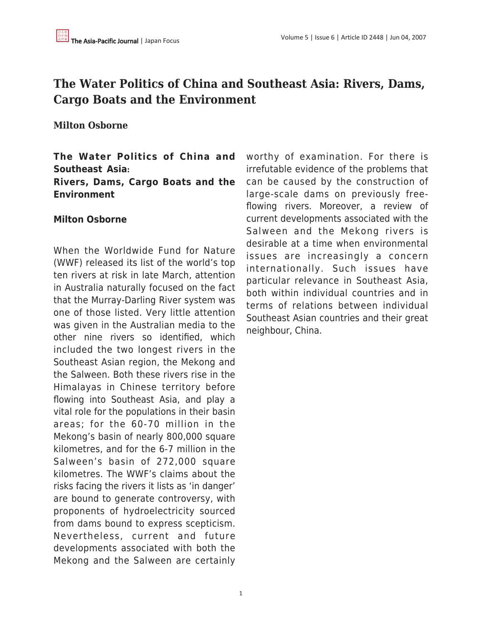# **The Water Politics of China and Southeast Asia: Rivers, Dams, Cargo Boats and the Environment**

# **Milton Osborne**

# **The Water Politics of China and Southeast Asia: Rivers, Dams, Cargo Boats and the Environment**

#### **Milton Osborne**

When the Worldwide Fund for Nature (WWF) released its list of the world's top ten rivers at risk in late March, attention in Australia naturally focused on the fact that the Murray-Darling River system was one of those listed. Very little attention was given in the Australian media to the other nine rivers so identified, which included the two longest rivers in the Southeast Asian region, the Mekong and the Salween. Both these rivers rise in the Himalayas in Chinese territory before flowing into Southeast Asia, and play a vital role for the populations in their basin areas; for the 60-70 million in the Mekong's basin of nearly 800,000 square kilometres, and for the 6-7 million in the Salween's basin of 272,000 square kilometres. The WWF's claims about the risks facing the rivers it lists as 'in danger' are bound to generate controversy, with proponents of hydroelectricity sourced from dams bound to express scepticism. Nevertheless, current and future developments associated with both the Mekong and the Salween are certainly worthy of examination. For there is irrefutable evidence of the problems that can be caused by the construction of large-scale dams on previously freeflowing rivers. Moreover, a review of current developments associated with the Salween and the Mekong rivers is desirable at a time when environmental issues are increasingly a concern internationally. Such issues have particular relevance in Southeast Asia, both within individual countries and in terms of relations between individual Southeast Asian countries and their great neighbour, China.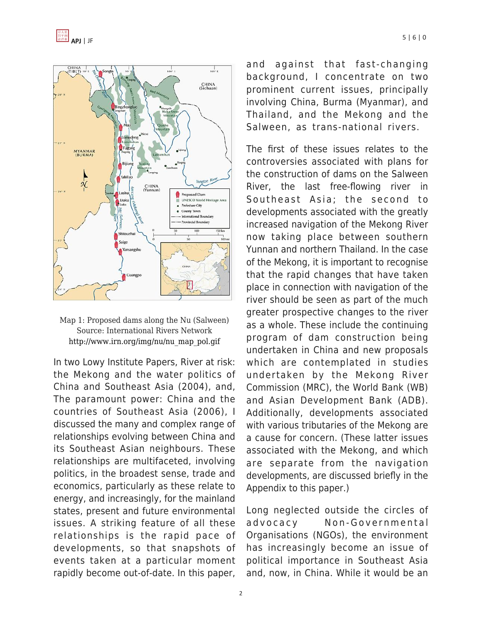



In two Lowy Institute Papers, River at risk: the Mekong and the water politics of China and Southeast Asia (2004), and, The paramount power: China and the countries of Southeast Asia (2006), I discussed the many and complex range of relationships evolving between China and its Southeast Asian neighbours. These relationships are multifaceted, involving politics, in the broadest sense, trade and economics, particularly as these relate to energy, and increasingly, for the mainland states, present and future environmental issues. A striking feature of all these relationships is the rapid pace of developments, so that snapshots of events taken at a particular moment rapidly become out-of-date. In this paper, and against that fast-changing background, I concentrate on two prominent current issues, principally involving China, Burma (Myanmar), and Thailand, and the Mekong and the Salween, as trans-national rivers.

The first of these issues relates to the controversies associated with plans for the construction of dams on the Salween River, the last free-flowing river in Southeast Asia; the second to developments associated with the greatly increased navigation of the Mekong River now taking place between southern Yunnan and northern Thailand. In the case of the Mekong, it is important to recognise that the rapid changes that have taken place in connection with navigation of the river should be seen as part of the much greater prospective changes to the river as a whole. These include the continuing program of dam construction being undertaken in China and new proposals which are contemplated in studies undertaken by the Mekong River Commission (MRC), the World Bank (WB) and Asian Development Bank (ADB). Additionally, developments associated with various tributaries of the Mekong are a cause for concern. (These latter issues associated with the Mekong, and which are separate from the navigation developments, are discussed briefly in the Appendix to this paper.)

Long neglected outside the circles of advocacy Non-Governmental Organisations (NGOs), the environment has increasingly become an issue of political importance in Southeast Asia and, now, in China. While it would be an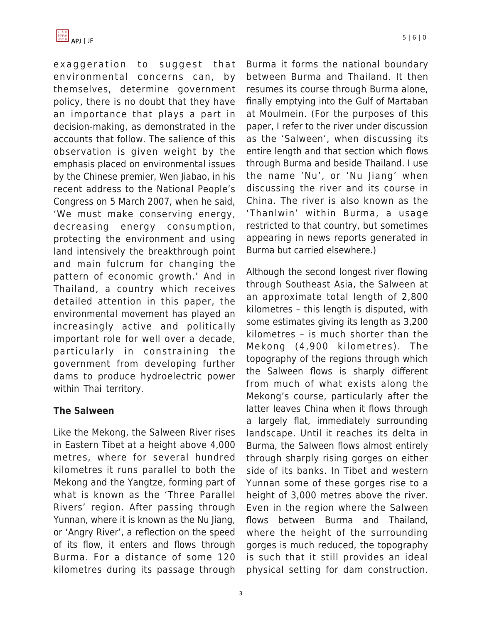

exaggeration to suggest that environmental concerns can, by themselves, determine government policy, there is no doubt that they have an importance that plays a part in decision-making, as demonstrated in the accounts that follow. The salience of this observation is given weight by the emphasis placed on environmental issues by the Chinese premier, Wen Jiabao, in his recent address to the National People's Congress on 5 March 2007, when he said, 'We must make conserving energy, decreasing energy consumption, protecting the environment and using land intensively the breakthrough point and main fulcrum for changing the pattern of economic growth.' And in Thailand, a country which receives detailed attention in this paper, the environmental movement has played an increasingly active and politically important role for well over a decade, particularly in constraining the government from developing further dams to produce hydroelectric power within Thai territory.

### **The Salween**

Like the Mekong, the Salween River rises in Eastern Tibet at a height above 4,000 metres, where for several hundred kilometres it runs parallel to both the Mekong and the Yangtze, forming part of what is known as the 'Three Parallel Rivers' region. After passing through Yunnan, where it is known as the Nu Jiang, or 'Angry River', a reflection on the speed of its flow, it enters and flows through Burma. For a distance of some 120 kilometres during its passage through Burma it forms the national boundary between Burma and Thailand. It then resumes its course through Burma alone, finally emptying into the Gulf of Martaban at Moulmein. (For the purposes of this paper, I refer to the river under discussion as the 'Salween', when discussing its entire length and that section which flows through Burma and beside Thailand. I use the name 'Nu', or 'Nu Jiang' when discussing the river and its course in China. The river is also known as the 'Thanlwin' within Burma, a usage restricted to that country, but sometimes appearing in news reports generated in Burma but carried elsewhere.)

Although the second longest river flowing through Southeast Asia, the Salween at an approximate total length of 2,800 kilometres – this length is disputed, with some estimates giving its length as 3,200 kilometres – is much shorter than the Mekong (4,900 kilometres). The topography of the regions through which the Salween flows is sharply different from much of what exists along the Mekong's course, particularly after the latter leaves China when it flows through a largely flat, immediately surrounding landscape. Until it reaches its delta in Burma, the Salween flows almost entirely through sharply rising gorges on either side of its banks. In Tibet and western Yunnan some of these gorges rise to a height of 3,000 metres above the river. Even in the region where the Salween flows between Burma and Thailand, where the height of the surrounding gorges is much reduced, the topography is such that it still provides an ideal physical setting for dam construction.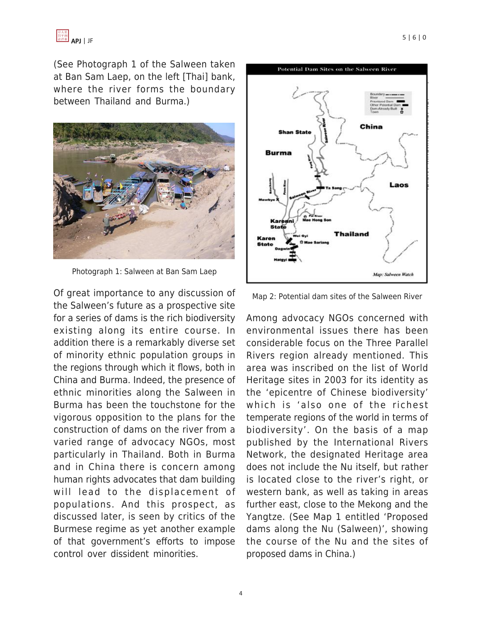

(See Photograph 1 of the Salween taken at Ban Sam Laep, on the left [Thai] bank, where the river forms the boundary between Thailand and Burma.)



Photograph 1: Salween at Ban Sam Laep

Of great importance to any discussion of the Salween's future as a prospective site for a series of dams is the rich biodiversity existing along its entire course. In addition there is a remarkably diverse set of minority ethnic population groups in the regions through which it flows, both in China and Burma. Indeed, the presence of ethnic minorities along the Salween in Burma has been the touchstone for the vigorous opposition to the plans for the construction of dams on the river from a varied range of advocacy NGOs, most particularly in Thailand. Both in Burma and in China there is concern among human rights advocates that dam building will lead to the displacement of populations. And this prospect, as discussed later, is seen by critics of the Burmese regime as yet another example of that government's efforts to impose control over dissident minorities.



Map 2: Potential dam sites of the Salween River

Among advocacy NGOs concerned with environmental issues there has been considerable focus on the Three Parallel Rivers region already mentioned. This area was inscribed on the list of World Heritage sites in 2003 for its identity as the 'epicentre of Chinese biodiversity' which is 'also one of the richest temperate regions of the world in terms of biodiversity'. On the basis of a map published by the International Rivers Network, the designated Heritage area does not include the Nu itself, but rather is located close to the river's right, or western bank, as well as taking in areas further east, close to the Mekong and the Yangtze. (See Map 1 entitled 'Proposed dams along the Nu (Salween)', showing the course of the Nu and the sites of proposed dams in China.)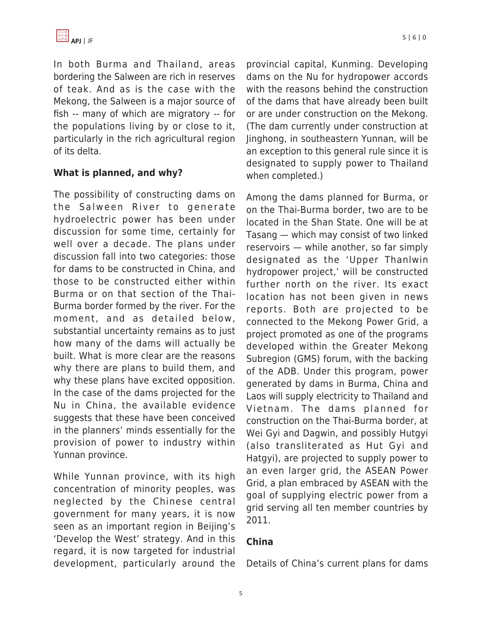

In both Burma and Thailand, areas bordering the Salween are rich in reserves of teak. And as is the case with the Mekong, the Salween is a major source of fish -- many of which are migratory -- for the populations living by or close to it, particularly in the rich agricultural region of its delta.

#### **What is planned, and why?**

The possibility of constructing dams on the Salween River to generate hydroelectric power has been under discussion for some time, certainly for well over a decade. The plans under discussion fall into two categories: those for dams to be constructed in China, and those to be constructed either within Burma or on that section of the Thai-Burma border formed by the river. For the moment, and as detailed below, substantial uncertainty remains as to just how many of the dams will actually be built. What is more clear are the reasons why there are plans to build them, and why these plans have excited opposition. In the case of the dams projected for the Nu in China, the available evidence suggests that these have been conceived in the planners' minds essentially for the provision of power to industry within Yunnan province.

While Yunnan province, with its high concentration of minority peoples, was neglected by the Chinese central government for many years, it is now seen as an important region in Beijing's 'Develop the West' strategy. And in this regard, it is now targeted for industrial development, particularly around the provincial capital, Kunming. Developing dams on the Nu for hydropower accords with the reasons behind the construction of the dams that have already been built or are under construction on the Mekong. (The dam currently under construction at Jinghong, in southeastern Yunnan, will be an exception to this general rule since it is designated to supply power to Thailand when completed.)

Among the dams planned for Burma, or on the Thai-Burma border, two are to be located in the Shan State. One will be at Tasang — which may consist of two linked reservoirs — while another, so far simply designated as the 'Upper Thanlwin hydropower project,' will be constructed further north on the river. Its exact location has not been given in news reports. Both are projected to be connected to the Mekong Power Grid, a project promoted as one of the programs developed within the Greater Mekong Subregion (GMS) forum, with the backing of the ADB. Under this program, power generated by dams in Burma, China and Laos will supply electricity to Thailand and Vietnam. The dams planned for construction on the Thai-Burma border, at Wei Gyi and Dagwin, and possibly Hutgyi (also transliterated as Hut Gyi and Hatgyi), are projected to supply power to an even larger grid, the ASEAN Power Grid, a plan embraced by ASEAN with the goal of supplying electric power from a grid serving all ten member countries by 2011.

### **China**

Details of China's current plans for dams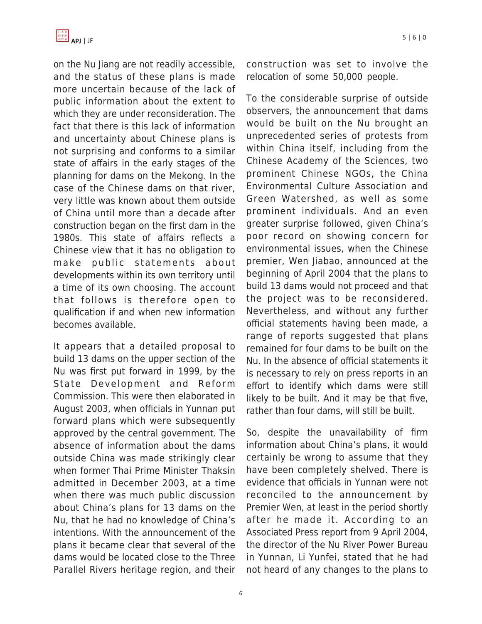

on the Nu Jiang are not readily accessible, and the status of these plans is made more uncertain because of the lack of public information about the extent to which they are under reconsideration. The fact that there is this lack of information and uncertainty about Chinese plans is not surprising and conforms to a similar state of affairs in the early stages of the planning for dams on the Mekong. In the case of the Chinese dams on that river, very little was known about them outside of China until more than a decade after construction began on the first dam in the 1980s. This state of affairs reflects a Chinese view that it has no obligation to make public statements about developments within its own territory until a time of its own choosing. The account that follows is therefore open to qualification if and when new information becomes available.

It appears that a detailed proposal to build 13 dams on the upper section of the Nu was first put forward in 1999, by the State Development and Reform Commission. This were then elaborated in August 2003, when officials in Yunnan put forward plans which were subsequently approved by the central government. The absence of information about the dams outside China was made strikingly clear when former Thai Prime Minister Thaksin admitted in December 2003, at a time when there was much public discussion about China's plans for 13 dams on the Nu, that he had no knowledge of China's intentions. With the announcement of the plans it became clear that several of the dams would be located close to the Three Parallel Rivers heritage region, and their construction was set to involve the relocation of some 50,000 people.

To the considerable surprise of outside observers, the announcement that dams would be built on the Nu brought an unprecedented series of protests from within China itself, including from the Chinese Academy of the Sciences, two prominent Chinese NGOs, the China Environmental Culture Association and Green Watershed, as well as some prominent individuals. And an even greater surprise followed, given China's poor record on showing concern for environmental issues, when the Chinese premier, Wen Jiabao, announced at the beginning of April 2004 that the plans to build 13 dams would not proceed and that the project was to be reconsidered. Nevertheless, and without any further official statements having been made, a range of reports suggested that plans remained for four dams to be built on the Nu. In the absence of official statements it is necessary to rely on press reports in an effort to identify which dams were still likely to be built. And it may be that five, rather than four dams, will still be built.

So, despite the unavailability of firm information about China's plans, it would certainly be wrong to assume that they have been completely shelved. There is evidence that officials in Yunnan were not reconciled to the announcement by Premier Wen, at least in the period shortly after he made it. According to an Associated Press report from 9 April 2004, the director of the Nu River Power Bureau in Yunnan, Li Yunfei, stated that he had not heard of any changes to the plans to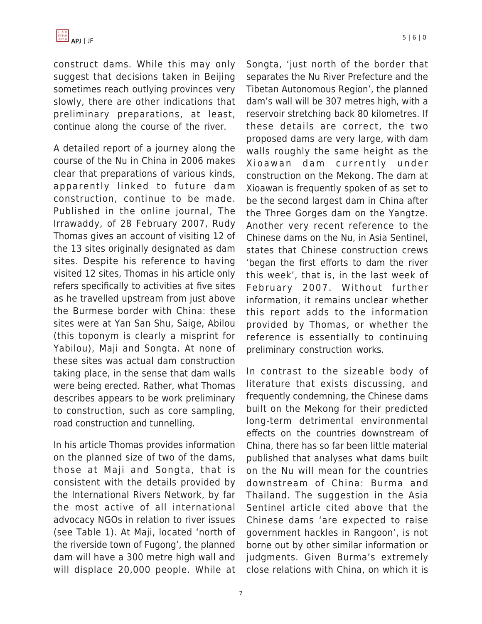construct dams. While this may only suggest that decisions taken in Beijing sometimes reach outlying provinces very slowly, there are other indications that preliminary preparations, at least, continue along the course of the river.

A detailed report of a journey along the course of the Nu in China in 2006 makes clear that preparations of various kinds, apparently linked to future dam construction, continue to be made. Published in the online journal, The Irrawaddy, of 28 February 2007, Rudy Thomas gives an account of visiting 12 of the 13 sites originally designated as dam sites. Despite his reference to having visited 12 sites, Thomas in his article only refers specifically to activities at five sites as he travelled upstream from just above the Burmese border with China: these sites were at Yan San Shu, Saige, Abilou (this toponym is clearly a misprint for Yabilou), Maji and Songta. At none of these sites was actual dam construction taking place, in the sense that dam walls were being erected. Rather, what Thomas describes appears to be work preliminary to construction, such as core sampling, road construction and tunnelling.

In his article Thomas provides information on the planned size of two of the dams, those at Maji and Songta, that is consistent with the details provided by the International Rivers Network, by far the most active of all international advocacy NGOs in relation to river issues (see Table 1). At Maji, located 'north of the riverside town of Fugong', the planned dam will have a 300 metre high wall and will displace 20,000 people. While at Songta, 'just north of the border that separates the Nu River Prefecture and the Tibetan Autonomous Region', the planned dam's wall will be 307 metres high, with a reservoir stretching back 80 kilometres. If these details are correct, the two proposed dams are very large, with dam walls roughly the same height as the Xioawan dam currently under construction on the Mekong. The dam at Xioawan is frequently spoken of as set to be the second largest dam in China after the Three Gorges dam on the Yangtze. Another very recent reference to the Chinese dams on the Nu, in Asia Sentinel, states that Chinese construction crews 'began the first efforts to dam the river this week', that is, in the last week of February 2007. Without further information, it remains unclear whether this report adds to the information provided by Thomas, or whether the reference is essentially to continuing preliminary construction works.

In contrast to the sizeable body of literature that exists discussing, and frequently condemning, the Chinese dams built on the Mekong for their predicted long-term detrimental environmental effects on the countries downstream of China, there has so far been little material published that analyses what dams built on the Nu will mean for the countries downstream of China: Burma and Thailand. The suggestion in the Asia Sentinel article cited above that the Chinese dams 'are expected to raise government hackles in Rangoon', is not borne out by other similar information or judgments. Given Burma's extremely close relations with China, on which it is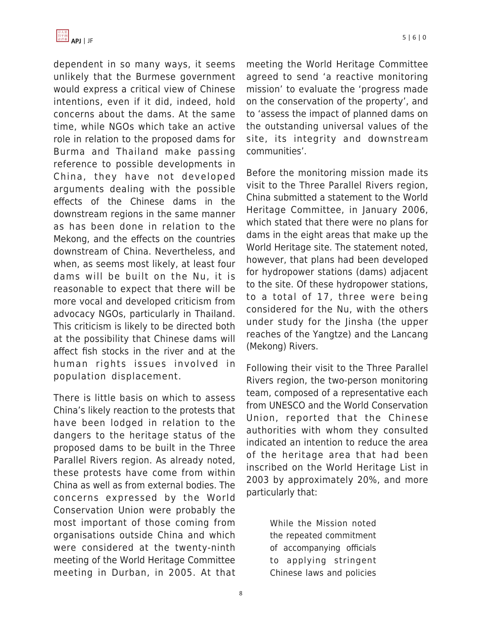dependent in so many ways, it seems unlikely that the Burmese government would express a critical view of Chinese intentions, even if it did, indeed, hold concerns about the dams. At the same time, while NGOs which take an active role in relation to the proposed dams for Burma and Thailand make passing reference to possible developments in China, they have not developed arguments dealing with the possible effects of the Chinese dams in the downstream regions in the same manner as has been done in relation to the Mekong, and the effects on the countries downstream of China. Nevertheless, and when, as seems most likely, at least four dams will be built on the Nu, it is reasonable to expect that there will be more vocal and developed criticism from advocacy NGOs, particularly in Thailand. This criticism is likely to be directed both at the possibility that Chinese dams will affect fish stocks in the river and at the human rights issues involved in population displacement.

There is little basis on which to assess China's likely reaction to the protests that have been lodged in relation to the dangers to the heritage status of the proposed dams to be built in the Three Parallel Rivers region. As already noted, these protests have come from within China as well as from external bodies. The concerns expressed by the World Conservation Union were probably the most important of those coming from organisations outside China and which were considered at the twenty-ninth meeting of the World Heritage Committee meeting in Durban, in 2005. At that meeting the World Heritage Committee agreed to send 'a reactive monitoring mission' to evaluate the 'progress made on the conservation of the property', and to 'assess the impact of planned dams on the outstanding universal values of the site, its integrity and downstream communities'.

Before the monitoring mission made its visit to the Three Parallel Rivers region, China submitted a statement to the World Heritage Committee, in January 2006, which stated that there were no plans for dams in the eight areas that make up the World Heritage site. The statement noted, however, that plans had been developed for hydropower stations (dams) adjacent to the site. Of these hydropower stations, to a total of 17, three were being considered for the Nu, with the others under study for the Jinsha (the upper reaches of the Yangtze) and the Lancang (Mekong) Rivers.

Following their visit to the Three Parallel Rivers region, the two-person monitoring team, composed of a representative each from UNESCO and the World Conservation Union, reported that the Chinese authorities with whom they consulted indicated an intention to reduce the area of the heritage area that had been inscribed on the World Heritage List in 2003 by approximately 20%, and more particularly that:

> While the Mission noted the repeated commitment of accompanying officials to applying stringent Chinese laws and policies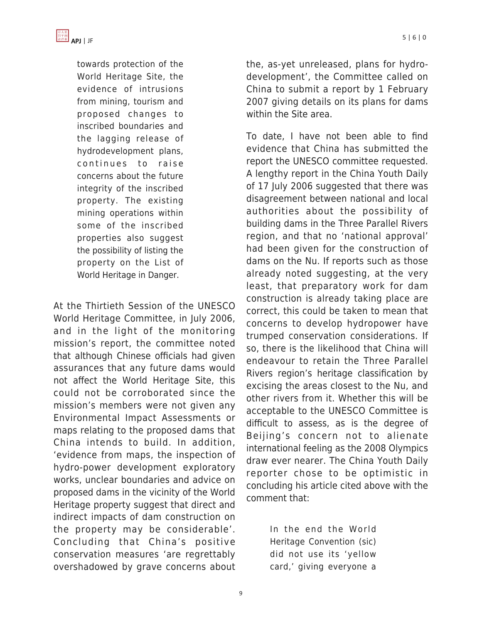

towards protection of the World Heritage Site, the evidence of intrusions from mining, tourism and proposed changes to inscribed boundaries and the lagging release of hydrodevelopment plans, continues to raise concerns about the future integrity of the inscribed property. The existing mining operations within some of the inscribed properties also suggest the possibility of listing the property on the List of World Heritage in Danger.

At the Thirtieth Session of the UNESCO World Heritage Committee, in July 2006, and in the light of the monitoring mission's report, the committee noted that although Chinese officials had given assurances that any future dams would not affect the World Heritage Site, this could not be corroborated since the mission's members were not given any Environmental Impact Assessments or maps relating to the proposed dams that China intends to build. In addition, 'evidence from maps, the inspection of hydro-power development exploratory works, unclear boundaries and advice on proposed dams in the vicinity of the World Heritage property suggest that direct and indirect impacts of dam construction on the property may be considerable'. Concluding that China's positive conservation measures 'are regrettably overshadowed by grave concerns about

the, as-yet unreleased, plans for hydrodevelopment', the Committee called on China to submit a report by 1 February 2007 giving details on its plans for dams within the Site area.

To date, I have not been able to find evidence that China has submitted the report the UNESCO committee requested. A lengthy report in the China Youth Daily of 17 July 2006 suggested that there was disagreement between national and local authorities about the possibility of building dams in the Three Parallel Rivers region, and that no 'national approval' had been given for the construction of dams on the Nu. If reports such as those already noted suggesting, at the very least, that preparatory work for dam construction is already taking place are correct, this could be taken to mean that concerns to develop hydropower have trumped conservation considerations. If so, there is the likelihood that China will endeavour to retain the Three Parallel Rivers region's heritage classification by excising the areas closest to the Nu, and other rivers from it. Whether this will be acceptable to the UNESCO Committee is difficult to assess, as is the degree of Beijing's concern not to alienate international feeling as the 2008 Olympics draw ever nearer. The China Youth Daily reporter chose to be optimistic in concluding his article cited above with the comment that:

> In the end the World Heritage Convention (sic) did not use its 'yellow card,' giving everyone a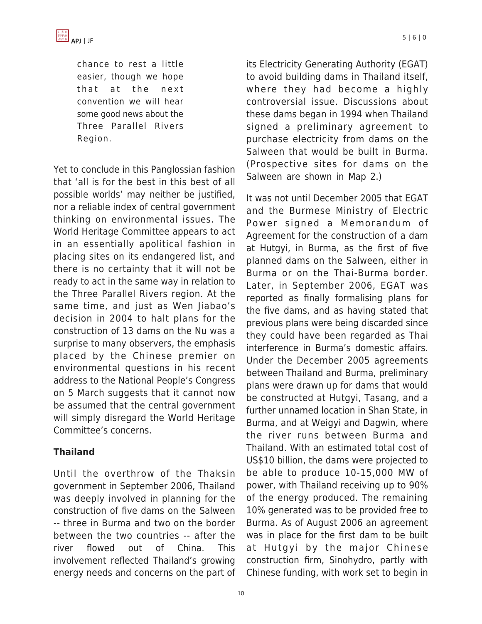



chance to rest a little easier, though we hope that at the next convention we will hear some good news about the Three Parallel Rivers Region.

Yet to conclude in this Panglossian fashion that 'all is for the best in this best of all possible worlds' may neither be justified, nor a reliable index of central government thinking on environmental issues. The World Heritage Committee appears to act in an essentially apolitical fashion in placing sites on its endangered list, and there is no certainty that it will not be ready to act in the same way in relation to the Three Parallel Rivers region. At the same time, and just as Wen Jiabao's decision in 2004 to halt plans for the construction of 13 dams on the Nu was a surprise to many observers, the emphasis placed by the Chinese premier on environmental questions in his recent address to the National People's Congress on 5 March suggests that it cannot now be assumed that the central government will simply disregard the World Heritage Committee's concerns.

### **Thailand**

Until the overthrow of the Thaksin government in September 2006, Thailand was deeply involved in planning for the construction of five dams on the Salween -- three in Burma and two on the border between the two countries -- after the river flowed out of China. This involvement reflected Thailand's growing energy needs and concerns on the part of its Electricity Generating Authority (EGAT) to avoid building dams in Thailand itself, where they had become a highly controversial issue. Discussions about these dams began in 1994 when Thailand signed a preliminary agreement to purchase electricity from dams on the Salween that would be built in Burma. (Prospective sites for dams on the Salween are shown in Map 2.)

It was not until December 2005 that EGAT and the Burmese Ministry of Electric Power signed a Memorandum of Agreement for the construction of a dam at Hutgyi, in Burma, as the first of five planned dams on the Salween, either in Burma or on the Thai-Burma border. Later, in September 2006, EGAT was reported as finally formalising plans for the five dams, and as having stated that previous plans were being discarded since they could have been regarded as Thai interference in Burma's domestic affairs. Under the December 2005 agreements between Thailand and Burma, preliminary plans were drawn up for dams that would be constructed at Hutgyi, Tasang, and a further unnamed location in Shan State, in Burma, and at Weigyi and Dagwin, where the river runs between Burma and Thailand. With an estimated total cost of US\$10 billion, the dams were projected to be able to produce 10-15,000 MW of power, with Thailand receiving up to 90% of the energy produced. The remaining 10% generated was to be provided free to Burma. As of August 2006 an agreement was in place for the first dam to be built at Hutgyi by the major Chinese construction firm, Sinohydro, partly with Chinese funding, with work set to begin in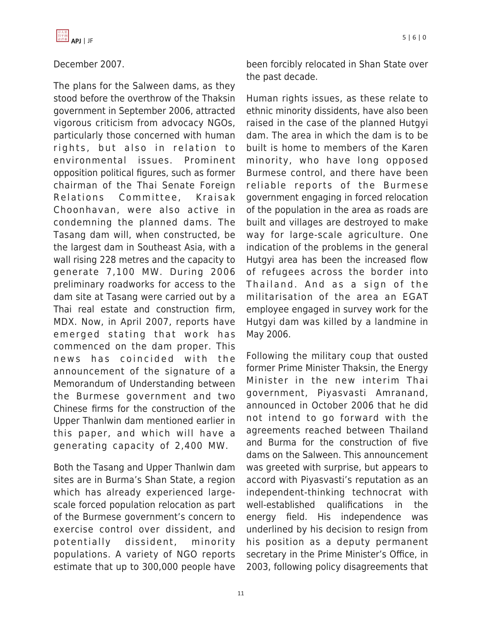

### December 2007.

The plans for the Salween dams, as they stood before the overthrow of the Thaksin government in September 2006, attracted vigorous criticism from advocacy NGOs, particularly those concerned with human rights, but also in relation to environmental issues. Prominent opposition political figures, such as former chairman of the Thai Senate Foreign Relations Committee, Kraisak Choonhavan, were also active in condemning the planned dams. The Tasang dam will, when constructed, be the largest dam in Southeast Asia, with a wall rising 228 metres and the capacity to generate 7,100 MW. During 2006 preliminary roadworks for access to the dam site at Tasang were carried out by a Thai real estate and construction firm, MDX. Now, in April 2007, reports have emerged stating that work has commenced on the dam proper. This news has coincided with the announcement of the signature of a Memorandum of Understanding between the Burmese government and two Chinese firms for the construction of the Upper Thanlwin dam mentioned earlier in this paper, and which will have a generating capacity of 2,400 MW.

Both the Tasang and Upper Thanlwin dam sites are in Burma's Shan State, a region which has already experienced largescale forced population relocation as part of the Burmese government's concern to exercise control over dissident, and potentially dissident, minority populations. A variety of NGO reports estimate that up to 300,000 people have been forcibly relocated in Shan State over the past decade.

Human rights issues, as these relate to ethnic minority dissidents, have also been raised in the case of the planned Hutgyi dam. The area in which the dam is to be built is home to members of the Karen minority, who have long opposed Burmese control, and there have been reliable reports of the Burmese government engaging in forced relocation of the population in the area as roads are built and villages are destroyed to make way for large-scale agriculture. One indication of the problems in the general Hutgyi area has been the increased flow of refugees across the border into Thailand. And as a sign of the militarisation of the area an EGAT employee engaged in survey work for the Hutgyi dam was killed by a landmine in May 2006.

Following the military coup that ousted former Prime Minister Thaksin, the Energy Minister in the new interim Thai government, Piyasvasti Amranand, announced in October 2006 that he did not intend to go forward with the agreements reached between Thailand and Burma for the construction of five dams on the Salween. This announcement was greeted with surprise, but appears to accord with Piyasvasti's reputation as an independent-thinking technocrat with well-established qualifications in the energy field. His independence was underlined by his decision to resign from his position as a deputy permanent secretary in the Prime Minister's Office, in 2003, following policy disagreements that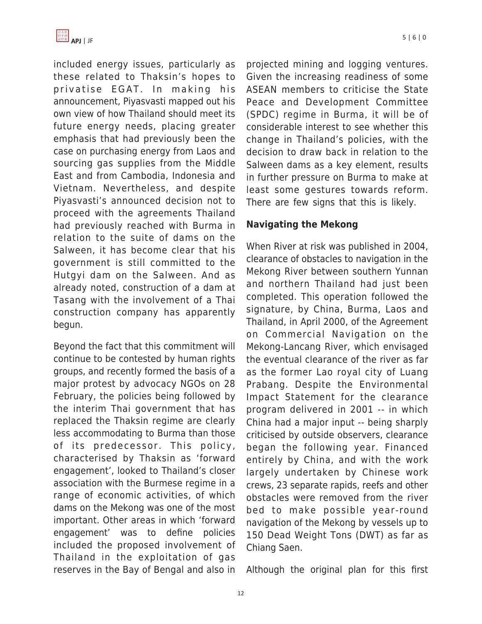

included energy issues, particularly as these related to Thaksin's hopes to privatise EGAT. In making his announcement, Piyasvasti mapped out his own view of how Thailand should meet its future energy needs, placing greater emphasis that had previously been the case on purchasing energy from Laos and sourcing gas supplies from the Middle East and from Cambodia, Indonesia and Vietnam. Nevertheless, and despite Piyasvasti's announced decision not to proceed with the agreements Thailand had previously reached with Burma in relation to the suite of dams on the Salween, it has become clear that his government is still committed to the Hutgyi dam on the Salween. And as already noted, construction of a dam at Tasang with the involvement of a Thai construction company has apparently begun.

Beyond the fact that this commitment will continue to be contested by human rights groups, and recently formed the basis of a major protest by advocacy NGOs on 28 February, the policies being followed by the interim Thai government that has replaced the Thaksin regime are clearly less accommodating to Burma than those of its predecessor. This policy, characterised by Thaksin as 'forward engagement', looked to Thailand's closer association with the Burmese regime in a range of economic activities, of which dams on the Mekong was one of the most important. Other areas in which 'forward engagement' was to define policies included the proposed involvement of Thailand in the exploitation of gas reserves in the Bay of Bengal and also in projected mining and logging ventures. Given the increasing readiness of some ASEAN members to criticise the State Peace and Development Committee (SPDC) regime in Burma, it will be of considerable interest to see whether this change in Thailand's policies, with the decision to draw back in relation to the Salween dams as a key element, results in further pressure on Burma to make at least some gestures towards reform. There are few signs that this is likely.

#### **Navigating the Mekong**

When River at risk was published in 2004, clearance of obstacles to navigation in the Mekong River between southern Yunnan and northern Thailand had just been completed. This operation followed the signature, by China, Burma, Laos and Thailand, in April 2000, of the Agreement on Commercial Navigation on the Mekong-Lancang River, which envisaged the eventual clearance of the river as far as the former Lao royal city of Luang Prabang. Despite the Environmental Impact Statement for the clearance program delivered in 2001 -- in which China had a major input -- being sharply criticised by outside observers, clearance began the following year. Financed entirely by China, and with the work largely undertaken by Chinese work crews, 23 separate rapids, reefs and other obstacles were removed from the river bed to make possible year-round navigation of the Mekong by vessels up to 150 Dead Weight Tons (DWT) as far as Chiang Saen.

Although the original plan for this first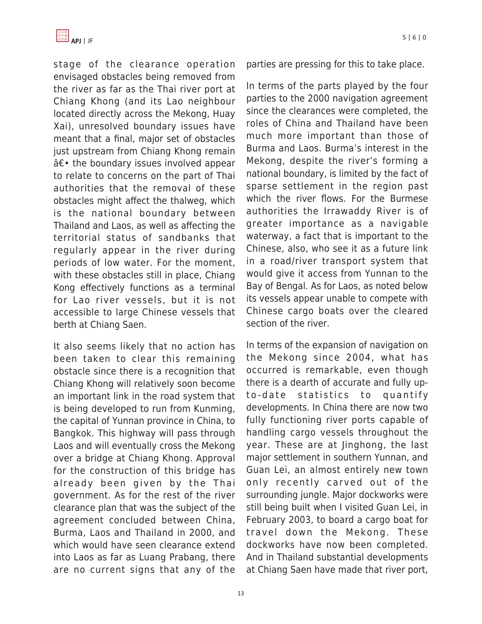

stage of the clearance operation envisaged obstacles being removed from the river as far as the Thai river port at Chiang Khong (and its Lao neighbour located directly across the Mekong, Huay Xai), unresolved boundary issues have meant that a final, major set of obstacles just upstream from Chiang Khong remain  $\hat{a} \in \cdot$  the boundary issues involved appear to relate to concerns on the part of Thai authorities that the removal of these obstacles might affect the thalweg, which is the national boundary between Thailand and Laos, as well as affecting the territorial status of sandbanks that regularly appear in the river during periods of low water. For the moment, with these obstacles still in place, Chiang Kong effectively functions as a terminal for Lao river vessels, but it is not accessible to large Chinese vessels that berth at Chiang Saen.

It also seems likely that no action has been taken to clear this remaining obstacle since there is a recognition that Chiang Khong will relatively soon become an important link in the road system that is being developed to run from Kunming, the capital of Yunnan province in China, to Bangkok. This highway will pass through Laos and will eventually cross the Mekong over a bridge at Chiang Khong. Approval for the construction of this bridge has already been given by the Thai government. As for the rest of the river clearance plan that was the subject of the agreement concluded between China, Burma, Laos and Thailand in 2000, and which would have seen clearance extend into Laos as far as Luang Prabang, there are no current signs that any of the parties are pressing for this to take place.

In terms of the parts played by the four parties to the 2000 navigation agreement since the clearances were completed, the roles of China and Thailand have been much more important than those of Burma and Laos. Burma's interest in the Mekong, despite the river's forming a national boundary, is limited by the fact of sparse settlement in the region past which the river flows. For the Burmese authorities the Irrawaddy River is of greater importance as a navigable waterway, a fact that is important to the Chinese, also, who see it as a future link in a road/river transport system that would give it access from Yunnan to the Bay of Bengal. As for Laos, as noted below its vessels appear unable to compete with Chinese cargo boats over the cleared section of the river.

In terms of the expansion of navigation on the Mekong since 2004, what has occurred is remarkable, even though there is a dearth of accurate and fully upto-date statistics to quantify developments. In China there are now two fully functioning river ports capable of handling cargo vessels throughout the year. These are at Jinghong, the last major settlement in southern Yunnan, and Guan Lei, an almost entirely new town only recently carved out of the surrounding jungle. Major dockworks were still being built when I visited Guan Lei, in February 2003, to board a cargo boat for travel down the Mekong. These dockworks have now been completed. And in Thailand substantial developments at Chiang Saen have made that river port,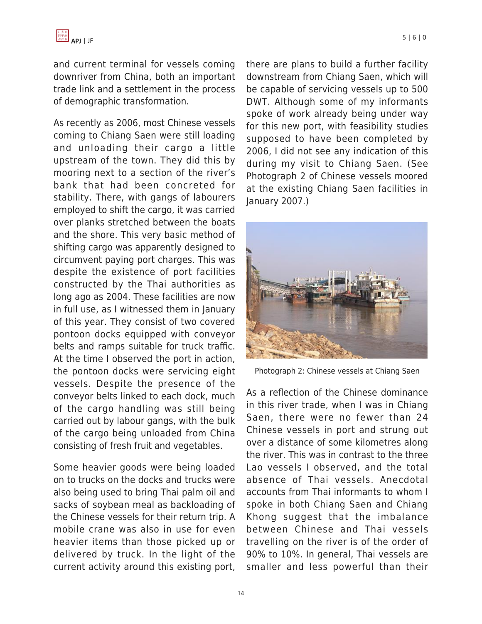and current terminal for vessels coming downriver from China, both an important trade link and a settlement in the process of demographic transformation.

As recently as 2006, most Chinese vessels coming to Chiang Saen were still loading and unloading their cargo a little upstream of the town. They did this by mooring next to a section of the river's bank that had been concreted for stability. There, with gangs of labourers employed to shift the cargo, it was carried over planks stretched between the boats and the shore. This very basic method of shifting cargo was apparently designed to circumvent paying port charges. This was despite the existence of port facilities constructed by the Thai authorities as long ago as 2004. These facilities are now in full use, as I witnessed them in January of this year. They consist of two covered pontoon docks equipped with conveyor belts and ramps suitable for truck traffic. At the time I observed the port in action, the pontoon docks were servicing eight vessels. Despite the presence of the conveyor belts linked to each dock, much of the cargo handling was still being carried out by labour gangs, with the bulk of the cargo being unloaded from China consisting of fresh fruit and vegetables.

Some heavier goods were being loaded on to trucks on the docks and trucks were also being used to bring Thai palm oil and sacks of soybean meal as backloading of the Chinese vessels for their return trip. A mobile crane was also in use for even heavier items than those picked up or delivered by truck. In the light of the current activity around this existing port,

there are plans to build a further facility downstream from Chiang Saen, which will be capable of servicing vessels up to 500 DWT. Although some of my informants spoke of work already being under way for this new port, with feasibility studies supposed to have been completed by 2006, I did not see any indication of this during my visit to Chiang Saen. (See Photograph 2 of Chinese vessels moored at the existing Chiang Saen facilities in January 2007.)



Photograph 2: Chinese vessels at Chiang Saen

As a reflection of the Chinese dominance in this river trade, when I was in Chiang Saen, there were no fewer than 24 Chinese vessels in port and strung out over a distance of some kilometres along the river. This was in contrast to the three Lao vessels I observed, and the total absence of Thai vessels. Anecdotal accounts from Thai informants to whom I spoke in both Chiang Saen and Chiang Khong suggest that the imbalance between Chinese and Thai vessels travelling on the river is of the order of 90% to 10%. In general, Thai vessels are smaller and less powerful than their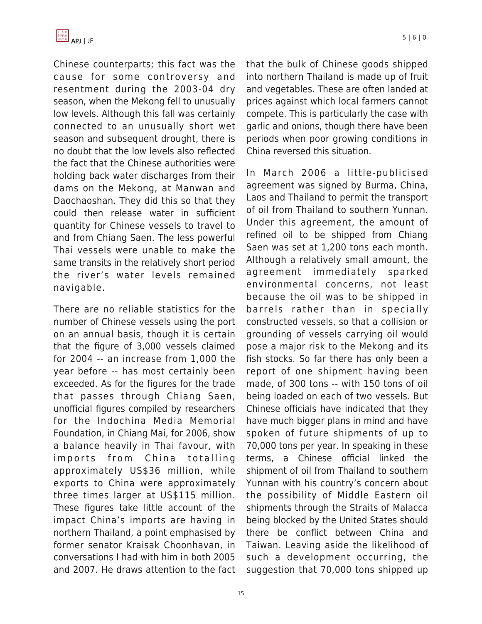

Chinese counterparts; this fact was the cause for some controversy and resentment during the 2003-04 dry season, when the Mekong fell to unusually low levels. Although this fall was certainly connected to an unusually short wet season and subsequent drought, there is no doubt that the low levels also reflected the fact that the Chinese authorities were holding back water discharges from their dams on the Mekong, at Manwan and Daochaoshan. They did this so that they could then release water in sufficient quantity for Chinese vessels to travel to and from Chiang Saen. The less powerful Thai vessels were unable to make the same transits in the relatively short period the river's water levels remained navigable.

There are no reliable statistics for the number of Chinese vessels using the port on an annual basis, though it is certain that the figure of 3,000 vessels claimed for 2004 -- an increase from 1,000 the year before -- has most certainly been exceeded. As for the figures for the trade that passes through Chiang Saen, unofficial figures compiled by researchers for the Indochina Media Memorial Foundation, in Chiang Mai, for 2006, show a balance heavily in Thai favour, with imports from China totalling approximately US\$36 million, while exports to China were approximately three times larger at US\$115 million. These figures take little account of the impact China's imports are having in northern Thailand, a point emphasised by former senator Kraisak Choonhavan, in conversations I had with him in both 2005 and 2007. He draws attention to the fact that the bulk of Chinese goods shipped into northern Thailand is made up of fruit and vegetables. These are often landed at prices against which local farmers cannot compete. This is particularly the case with garlic and onions, though there have been periods when poor growing conditions in China reversed this situation.

In March 2006 a little-publicised agreement was signed by Burma, China, Laos and Thailand to permit the transport of oil from Thailand to southern Yunnan. Under this agreement, the amount of refined oil to be shipped from Chiang Saen was set at 1,200 tons each month. Although a relatively small amount, the agreement immediately sparked environmental concerns, not least because the oil was to be shipped in barrels rather than in specially constructed vessels, so that a collision or grounding of vessels carrying oil would pose a major risk to the Mekong and its fish stocks. So far there has only been a report of one shipment having been made, of 300 tons -- with 150 tons of oil being loaded on each of two vessels. But Chinese officials have indicated that they have much bigger plans in mind and have spoken of future shipments of up to 70,000 tons per year. In speaking in these terms, a Chinese official linked the shipment of oil from Thailand to southern Yunnan with his country's concern about the possibility of Middle Eastern oil shipments through the Straits of Malacca being blocked by the United States should there be conflict between China and Taiwan. Leaving aside the likelihood of such a development occurring, the suggestion that 70,000 tons shipped up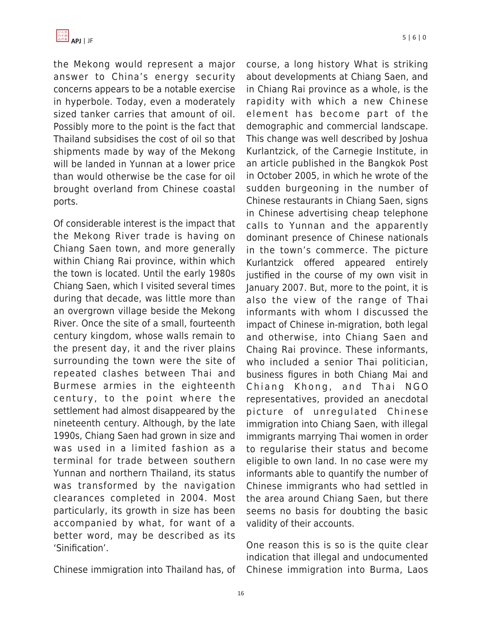

the Mekong would represent a major answer to China's energy security concerns appears to be a notable exercise in hyperbole. Today, even a moderately sized tanker carries that amount of oil. Possibly more to the point is the fact that Thailand subsidises the cost of oil so that shipments made by way of the Mekong will be landed in Yunnan at a lower price than would otherwise be the case for oil brought overland from Chinese coastal ports.

Of considerable interest is the impact that the Mekong River trade is having on Chiang Saen town, and more generally within Chiang Rai province, within which the town is located. Until the early 1980s Chiang Saen, which I visited several times during that decade, was little more than an overgrown village beside the Mekong River. Once the site of a small, fourteenth century kingdom, whose walls remain to the present day, it and the river plains surrounding the town were the site of repeated clashes between Thai and Burmese armies in the eighteenth century, to the point where the settlement had almost disappeared by the nineteenth century. Although, by the late 1990s, Chiang Saen had grown in size and was used in a limited fashion as a terminal for trade between southern Yunnan and northern Thailand, its status was transformed by the navigation clearances completed in 2004. Most particularly, its growth in size has been accompanied by what, for want of a better word, may be described as its 'Sinification'.

Chinese immigration into Thailand has, of

course, a long history What is striking about developments at Chiang Saen, and in Chiang Rai province as a whole, is the rapidity with which a new Chinese element has become part of the demographic and commercial landscape. This change was well described by Joshua Kurlantzick, of the Carnegie Institute, in an article published in the Bangkok Post in October 2005, in which he wrote of the sudden burgeoning in the number of Chinese restaurants in Chiang Saen, signs in Chinese advertising cheap telephone calls to Yunnan and the apparently dominant presence of Chinese nationals in the town's commerce. The picture Kurlantzick offered appeared entirely justified in the course of my own visit in January 2007. But, more to the point, it is also the view of the range of Thai informants with whom I discussed the impact of Chinese in-migration, both legal and otherwise, into Chiang Saen and Chaing Rai province. These informants, who included a senior Thai politician, business figures in both Chiang Mai and Chiang Khong, and Thai NGO representatives, provided an anecdotal picture of unregulated Chinese immigration into Chiang Saen, with illegal immigrants marrying Thai women in order to regularise their status and become eligible to own land. In no case were my informants able to quantify the number of Chinese immigrants who had settled in the area around Chiang Saen, but there seems no basis for doubting the basic validity of their accounts.

One reason this is so is the quite clear indication that illegal and undocumented Chinese immigration into Burma, Laos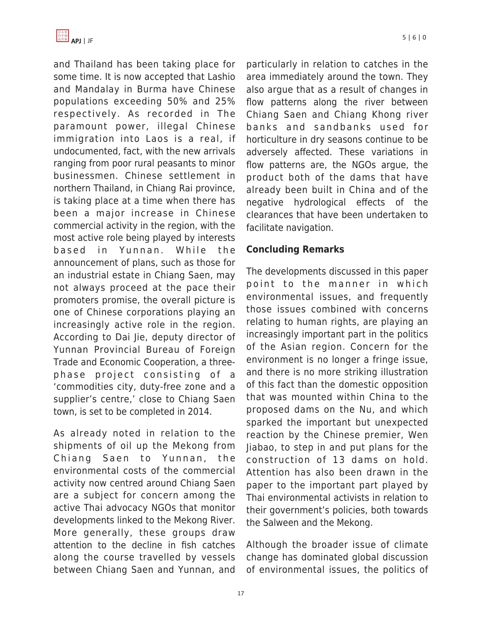

and Thailand has been taking place for some time. It is now accepted that Lashio and Mandalay in Burma have Chinese populations exceeding 50% and 25% respectively. As recorded in The paramount power, illegal Chinese immigration into Laos is a real, if undocumented, fact, with the new arrivals ranging from poor rural peasants to minor businessmen. Chinese settlement in northern Thailand, in Chiang Rai province, is taking place at a time when there has been a major increase in Chinese commercial activity in the region, with the most active role being played by interests based in Yunnan . While the announcement of plans, such as those for an industrial estate in Chiang Saen, may not always proceed at the pace their promoters promise, the overall picture is one of Chinese corporations playing an increasingly active role in the region. According to Dai Jie, deputy director of Yunnan Provincial Bureau of Foreign Trade and Economic Cooperation, a threephase project consisting of a 'commodities city, duty-free zone and a supplier's centre,' close to Chiang Saen town, is set to be completed in 2014.

As already noted in relation to the shipments of oil up the Mekong from Chiang Saen to Yunnan, the environmental costs of the commercial activity now centred around Chiang Saen are a subject for concern among the active Thai advocacy NGOs that monitor developments linked to the Mekong River. More generally, these groups draw attention to the decline in fish catches along the course travelled by vessels between Chiang Saen and Yunnan, and particularly in relation to catches in the area immediately around the town. They also argue that as a result of changes in flow patterns along the river between Chiang Saen and Chiang Khong river banks and sandbanks used for horticulture in dry seasons continue to be adversely affected. These variations in flow patterns are, the NGOs argue, the product both of the dams that have already been built in China and of the negative hydrological effects of the clearances that have been undertaken to facilitate navigation.

#### **Concluding Remarks**

The developments discussed in this paper point to the manner in which environmental issues, and frequently those issues combined with concerns relating to human rights, are playing an increasingly important part in the politics of the Asian region. Concern for the environment is no longer a fringe issue, and there is no more striking illustration of this fact than the domestic opposition that was mounted within China to the proposed dams on the Nu, and which sparked the important but unexpected reaction by the Chinese premier, Wen Jiabao, to step in and put plans for the construction of 13 dams on hold. Attention has also been drawn in the paper to the important part played by Thai environmental activists in relation to their government's policies, both towards the Salween and the Mekong.

Although the broader issue of climate change has dominated global discussion of environmental issues, the politics of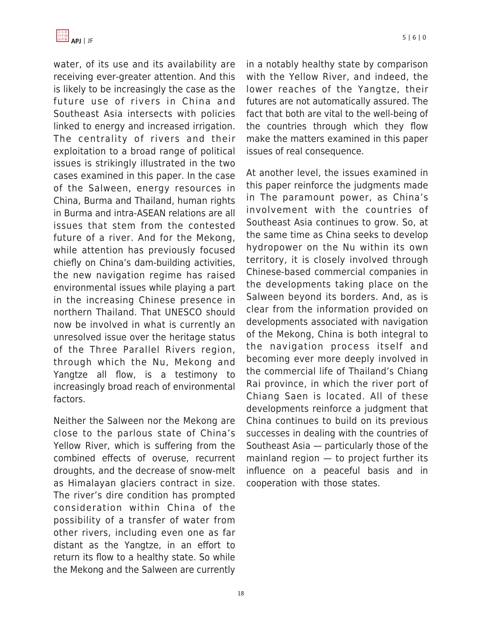

water, of its use and its availability are receiving ever-greater attention. And this is likely to be increasingly the case as the future use of rivers in China and Southeast Asia intersects with policies linked to energy and increased irrigation. The centrality of rivers and their exploitation to a broad range of political issues is strikingly illustrated in the two cases examined in this paper. In the case of the Salween, energy resources in China, Burma and Thailand, human rights in Burma and intra-ASEAN relations are all issues that stem from the contested future of a river. And for the Mekong, while attention has previously focused chiefly on China's dam-building activities, the new navigation regime has raised environmental issues while playing a part in the increasing Chinese presence in northern Thailand. That UNESCO should now be involved in what is currently an unresolved issue over the heritage status of the Three Parallel Rivers region, through which the Nu, Mekong and Yangtze all flow, is a testimony to increasingly broad reach of environmental factors.

Neither the Salween nor the Mekong are close to the parlous state of China's Yellow River, which is suffering from the combined effects of overuse, recurrent droughts, and the decrease of snow-melt as Himalayan glaciers contract in size. The river's dire condition has prompted consideration within China of the possibility of a transfer of water from other rivers, including even one as far distant as the Yangtze, in an effort to return its flow to a healthy state. So while the Mekong and the Salween are currently in a notably healthy state by comparison with the Yellow River, and indeed, the lower reaches of the Yangtze, their futures are not automatically assured. The fact that both are vital to the well-being of the countries through which they flow make the matters examined in this paper issues of real consequence.

At another level, the issues examined in this paper reinforce the judgments made in The paramount power, as China's involvement with the countries of Southeast Asia continues to grow. So, at the same time as China seeks to develop hydropower on the Nu within its own territory, it is closely involved through Chinese-based commercial companies in the developments taking place on the Salween beyond its borders. And, as is clear from the information provided on developments associated with navigation of the Mekong, China is both integral to the navigation process itself and becoming ever more deeply involved in the commercial life of Thailand's Chiang Rai province, in which the river port of Chiang Saen is located. All of these developments reinforce a judgment that China continues to build on its previous successes in dealing with the countries of Southeast Asia — particularly those of the mainland region — to project further its influence on a peaceful basis and in cooperation with those states.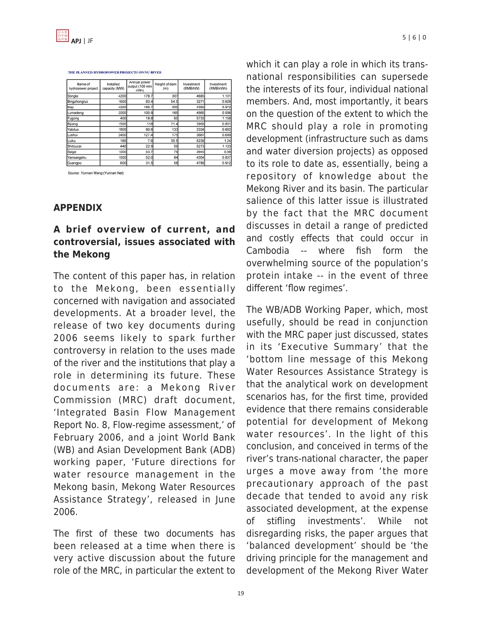#### THE PLANNED HYDROPOWER PROJECTS ON NU RIVER

| Name of<br>hydropower project | Installed<br>capacity (MW) | Annual power<br>output (100 mln<br>kWh) | Height of dam<br>(m) | Investment<br>(RMB/kW) | Investment<br>(RMB/kWh) |
|-------------------------------|----------------------------|-----------------------------------------|----------------------|------------------------|-------------------------|
| Songta                        | 4200                       | 178.7                                   | 307                  | 4685                   | 1.101                   |
| Bingzhongluo                  | 1600                       | 83.4                                    | 54.5                 | 3271                   | 0.628                   |
| Mail                          | 4200                       | 189.7                                   | 300                  | 4393                   | 0.972                   |
| Lumadeng                      | 2000                       | 100.9                                   | 165                  | 4565                   | 0.906                   |
| Fugong                        | 400                        | 19.8                                    | 60                   | 5733                   | 1.158                   |
| Bijiang                       | 1500                       | 118                                     | 71.4                 | 3958                   | 0.831                   |
| Yabiluo                       | 1800                       | 90.6                                    | 133                  | 3334                   | 0.662                   |
| Lushui                        | 2400                       | 127.4                                   | 175                  | 3661                   | 0.689                   |
| Liuku                         | 180                        | 7.6                                     | 35.5                 | 5238                   | 1.24                    |
| Shitouzai                     | 440                        | 22.9                                    | 59                   | 5273                   | 1.103                   |
| Saige                         | 1000                       | 53.7                                    | 79                   | 3645                   | 0.68                    |
| Yansangshu                    | 1000                       | 52.0                                    | 84                   | 4354                   | 0.837                   |
| Guannoo                       | sool                       | 31.5                                    | 58                   | 4788                   | 0.912                   |

Source: Yunnan Wang (Yunnan Net)

#### **APPENDIX**

# **A brief overview of current, and controversial, issues associated with the Mekong**

The content of this paper has, in relation to the Mekong, been essentially concerned with navigation and associated developments. At a broader level, the release of two key documents during 2006 seems likely to spark further controversy in relation to the uses made of the river and the institutions that play a role in determining its future. These documents are: a Mekong River Commission (MRC) draft document, 'Integrated Basin Flow Management Report No. 8, Flow-regime assessment,' of February 2006, and a joint World Bank (WB) and Asian Development Bank (ADB) working paper, 'Future directions for water resource management in the Mekong basin, Mekong Water Resources Assistance Strategy', released in June 2006.

The first of these two documents has been released at a time when there is very active discussion about the future role of the MRC, in particular the extent to which it can play a role in which its transnational responsibilities can supersede the interests of its four, individual national members. And, most importantly, it bears on the question of the extent to which the MRC should play a role in promoting development (infrastructure such as dams and water diversion projects) as opposed to its role to date as, essentially, being a repository of knowledge about the Mekong River and its basin. The particular salience of this latter issue is illustrated by the fact that the MRC document discusses in detail a range of predicted and costly effects that could occur in Cambodia -- where fish form the overwhelming source of the population's protein intake -- in the event of three different 'flow regimes'.

The WB/ADB Working Paper, which, most usefully, should be read in conjunction with the MRC paper just discussed, states in its 'Executive Summary' that the 'bottom line message of this Mekong Water Resources Assistance Strategy is that the analytical work on development scenarios has, for the first time, provided evidence that there remains considerable potential for development of Mekong water resources'. In the light of this conclusion, and conceived in terms of the river's trans-national character, the paper urges a move away from 'the more precautionary approach of the past decade that tended to avoid any risk associated development, at the expense of stifling investments'. While not disregarding risks, the paper argues that 'balanced development' should be 'the driving principle for the management and development of the Mekong River Water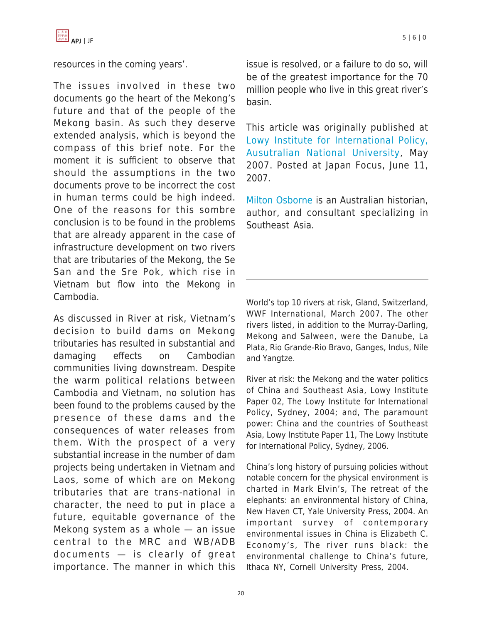resources in the coming years'.

The issues involved in these two documents go the heart of the Mekong's future and that of the people of the Mekong basin. As such they deserve extended analysis, which is beyond the compass of this brief note. For the moment it is sufficient to observe that should the assumptions in the two documents prove to be incorrect the cost in human terms could be high indeed. One of the reasons for this sombre conclusion is to be found in the problems that are already apparent in the case of infrastructure development on two rivers that are tributaries of the Mekong, the Se San and the Sre Pok, which rise in Vietnam but flow into the Mekong in Cambodia.

As discussed in River at risk, Vietnam's decision to build dams on Mekong tributaries has resulted in substantial and damaging effects on Cambodian communities living downstream. Despite the warm political relations between Cambodia and Vietnam, no solution has been found to the problems caused by the presence of these dams and the consequences of water releases from them. With the prospect of a very substantial increase in the number of dam projects being undertaken in Vietnam and Laos, some of which are on Mekong tributaries that are trans-national in character, the need to put in place a future, equitable governance of the Mekong system as a whole — an issue central to the MRC and WB/ADB documents — is clearly of great importance. The manner in which this issue is resolved, or a failure to do so, will be of the greatest importance for the 70 million people who live in this great river's basin.

This article was originally published at [Lowy Institute for International Policy,](http://www.lowyinstitute.org/) [Ausutralian National University](http://www.lowyinstitute.org/), May 2007. Posted at Japan Focus, June 11, 2007.

[Milton Osborne](http://en.wikipedia.org/wiki/Milton_Osborne) is an Australian historian, author, and consultant specializing in Southeast Asia.

World's top 10 rivers at risk, Gland, Switzerland, WWF International, March 2007. The other rivers listed, in addition to the Murray-Darling, Mekong and Salween, were the Danube, La Plata, Rio Grande-Rio Bravo, Ganges, Indus, Nile and Yangtze.

River at risk: the Mekong and the water politics of China and Southeast Asia, Lowy Institute Paper 02, The Lowy Institute for International Policy, Sydney, 2004; and, The paramount power: China and the countries of Southeast Asia, Lowy Institute Paper 11, The Lowy Institute for International Policy, Sydney, 2006.

China's long history of pursuing policies without notable concern for the physical environment is charted in Mark Elvin's, The retreat of the elephants: an environmental history of China, New Haven CT, Yale University Press, 2004. An important survey of contemporary environmental issues in China is Elizabeth C. Economy's, The river runs black: the environmental challenge to China's future, Ithaca NY, Cornell University Press, 2004.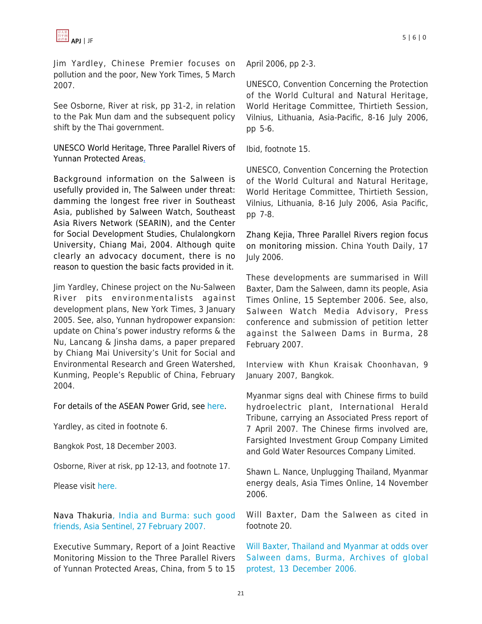

Jim Yardley, Chinese Premier focuses on pollution and the poor, New York Times, 5 March 2007.

See Osborne, River at risk, pp 31-2, in relation to the Pak Mun dam and the subsequent policy shift by the Thai government.

[UNESCO World Heritage, Three Parallel Rivers of](http://whc.unesco.org/en/list/1083) [Yunnan Protected Areas.](http://whc.unesco.org/en/list/1083)

Background information on the Salween is usefully provided in, The Salween under threat: damming the longest free river in Southeast Asia, published by Salween Watch, Southeast Asia Rivers Network (SEARIN), and the Center for Social Development Studies, Chulalongkorn University, Chiang Mai, 2004. Although quite clearly an advocacy document, there is no reason to question the basic facts provided in it.

Jim Yardley, Chinese project on the Nu-Salween River pits environmentalists against development plans, New York Times, 3 January 2005. See, also, Yunnan hydropower expansion: update on China's power industry reforms & the Nu, Lancang & Jinsha dams, a paper prepared by Chiang Mai University's Unit for Social and Environmental Research and Green Watershed, Kunming, People's Republic of China, February 2004.

For details of the ASEAN Power Grid, see [here.](http://www.aseansec.org/10367.htm)

Yardley, as cited in footnote 6.

Bangkok Post, 18 December 2003.

Osborne, River at risk, pp 12-13, and footnote 17.

Please visit [here.](http://www.irrawaddy.org/aviewer.asp?a=6024&z=10)

[Nava Thakuria, India and Burma: such good](http://www.asiasentinel.com) [friends, Asia Sentinel, 27 February 2007.](http://www.asiasentinel.com)

Executive Summary, Report of a Joint Reactive Monitoring Mission to the Three Parallel Rivers of Yunnan Protected Areas, China, from 5 to 15 UNESCO, Convention Concerning the Protection of the World Cultural and Natural Heritage, World Heritage Committee, Thirtieth Session, Vilnius, Lithuania, Asia-Pacific, 8-16 July 2006, pp 5-6.

Ibid, footnote 15.

UNESCO, Convention Concerning the Protection of the World Cultural and Natural Heritage, World Heritage Committee, Thirtieth Session, Vilnius, Lithuania, 8-16 July 2006, Asia Pacific, pp 7-8.

Zhang Kejia, Three Parallel Rivers region focus on monitoring mission. China Youth Daily, 17 July 2006.

These developments are summarised in Will Baxter, Dam the Salween, damn its people, Asia Times Online, 15 September 2006. See, also, Salween Watch Media Advisory, Press conference and submission of petition letter against the Salween Dams in Burma, 28 February 2007.

Interview with Khun Kraisak Choonhavan, 9 January 2007, Bangkok.

Myanmar signs deal with Chinese firms to build hydroelectric plant, International Herald Tribune, carrying an Associated Press report of 7 April 2007. The Chinese firms involved are, Farsighted Investment Group Company Limited and Gold Water Resources Company Limited.

Shawn L. Nance, Unplugging Thailand, Myanmar energy deals, Asia Times Online, 14 November 2006.

Will Baxter, Dam the Salween as cited in footnote 20.

[Will](http://www.nadir.org/nadir/initiativ/agp/free/imf/burma/2006/1213salween_dams.html) [Baxter, Thailand and Myanmar at odds over](https://apjjf.org/javascript:void(0);/*1181588163164*) [Salween dams, Burma, Archives of global](https://apjjf.org/javascript:void(0);/*1181588163164*) [protest, 13 December 2006.](https://apjjf.org/javascript:void(0);/*1181588163164*)